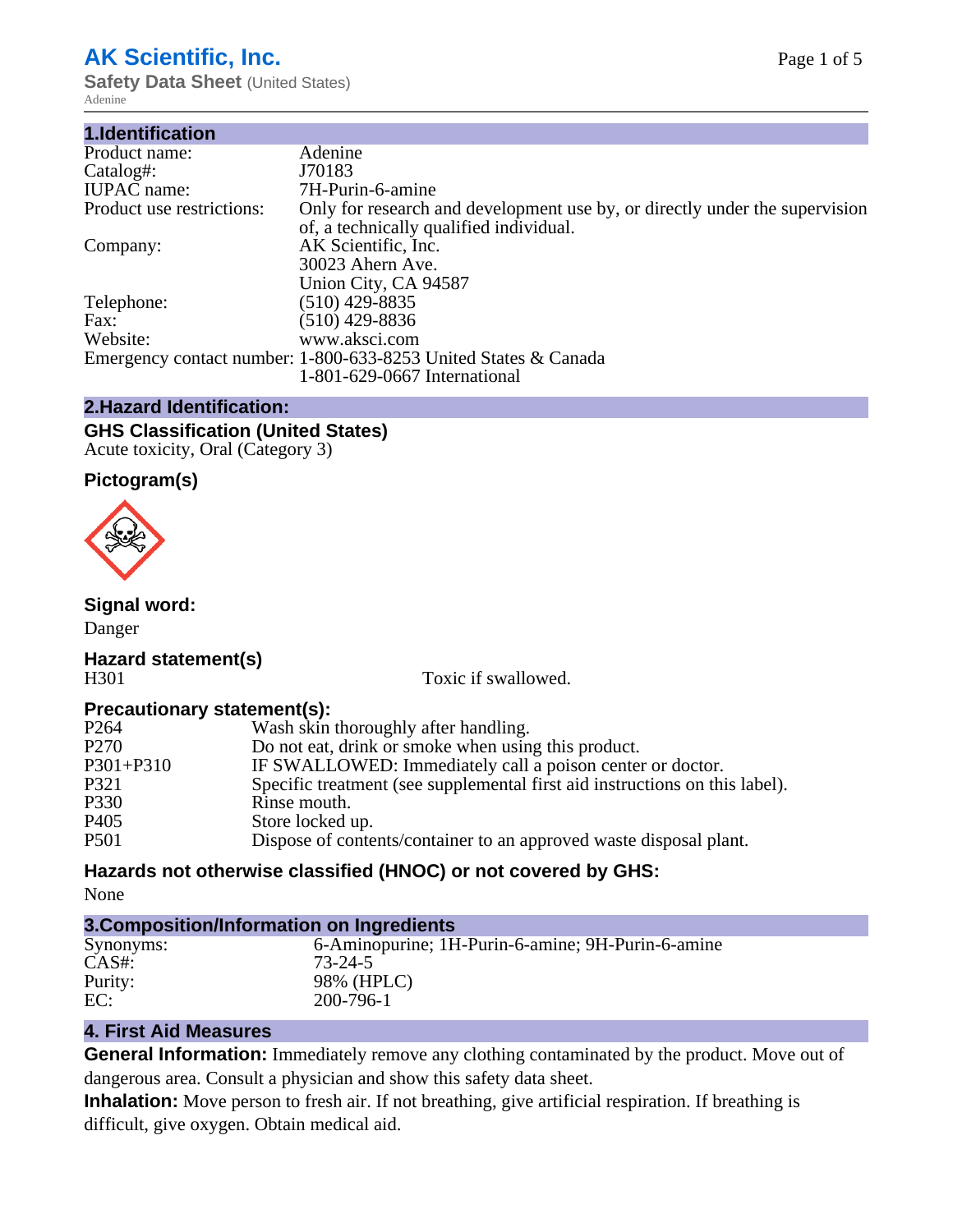# **AK Scientific, Inc.**

**Safety Data Sheet (United States)** Adenine

| 1.Identification          |                                                                                                                        |
|---------------------------|------------------------------------------------------------------------------------------------------------------------|
| Product name:             | Adenine                                                                                                                |
| Catalog#:                 | J70183                                                                                                                 |
| <b>IUPAC</b> name:        | 7H-Purin-6-amine                                                                                                       |
| Product use restrictions: | Only for research and development use by, or directly under the supervision<br>of, a technically qualified individual. |
| Company:                  | AK Scientific, Inc.<br>30023 Ahern Ave.<br>Union City, CA 94587                                                        |
| Telephone:                | $(510)$ 429-8835                                                                                                       |
| Fax:                      | (510) 429-8836                                                                                                         |
| Website:                  | www.aksci.com                                                                                                          |
|                           | Emergency contact number: 1-800-633-8253 United States & Canada<br>1-801-629-0667 International                        |

## **2.Hazard Identification:**

#### **GHS Classification (United States)** Acute toxicity, Oral (Category 3)

# **Pictogram(s)**



#### **Signal word:**

Danger

#### **Hazard statement(s)** H301 Toxic if swallowed.

#### **Precautionary statement(s):**

| P <sub>264</sub> | Wash skin thoroughly after handling.                                        |
|------------------|-----------------------------------------------------------------------------|
| P <sub>270</sub> | Do not eat, drink or smoke when using this product.                         |
| $P301 + P310$    | IF SWALLOWED: Immediately call a poison center or doctor.                   |
| P321             | Specific treatment (see supplemental first aid instructions on this label). |
| P330             | Rinse mouth.                                                                |
| P <sub>405</sub> | Store locked up.                                                            |
| P501             | Dispose of contents/container to an approved waste disposal plant.          |

# **Hazards not otherwise classified (HNOC) or not covered by GHS:**

None

| 3. Composition/Information on Ingredients |                                                   |  |
|-------------------------------------------|---------------------------------------------------|--|
| Synonyms:                                 | 6-Aminopurine; 1H-Purin-6-amine; 9H-Purin-6-amine |  |
| $CAS#$ :                                  | 73-24-5                                           |  |
| Purity:                                   | 98% (HPLC)                                        |  |
| EC:                                       | 200-796-1                                         |  |

# **4. First Aid Measures**

**General Information:** Immediately remove any clothing contaminated by the product. Move out of dangerous area. Consult a physician and show this safety data sheet.

**Inhalation:** Move person to fresh air. If not breathing, give artificial respiration. If breathing is difficult, give oxygen. Obtain medical aid.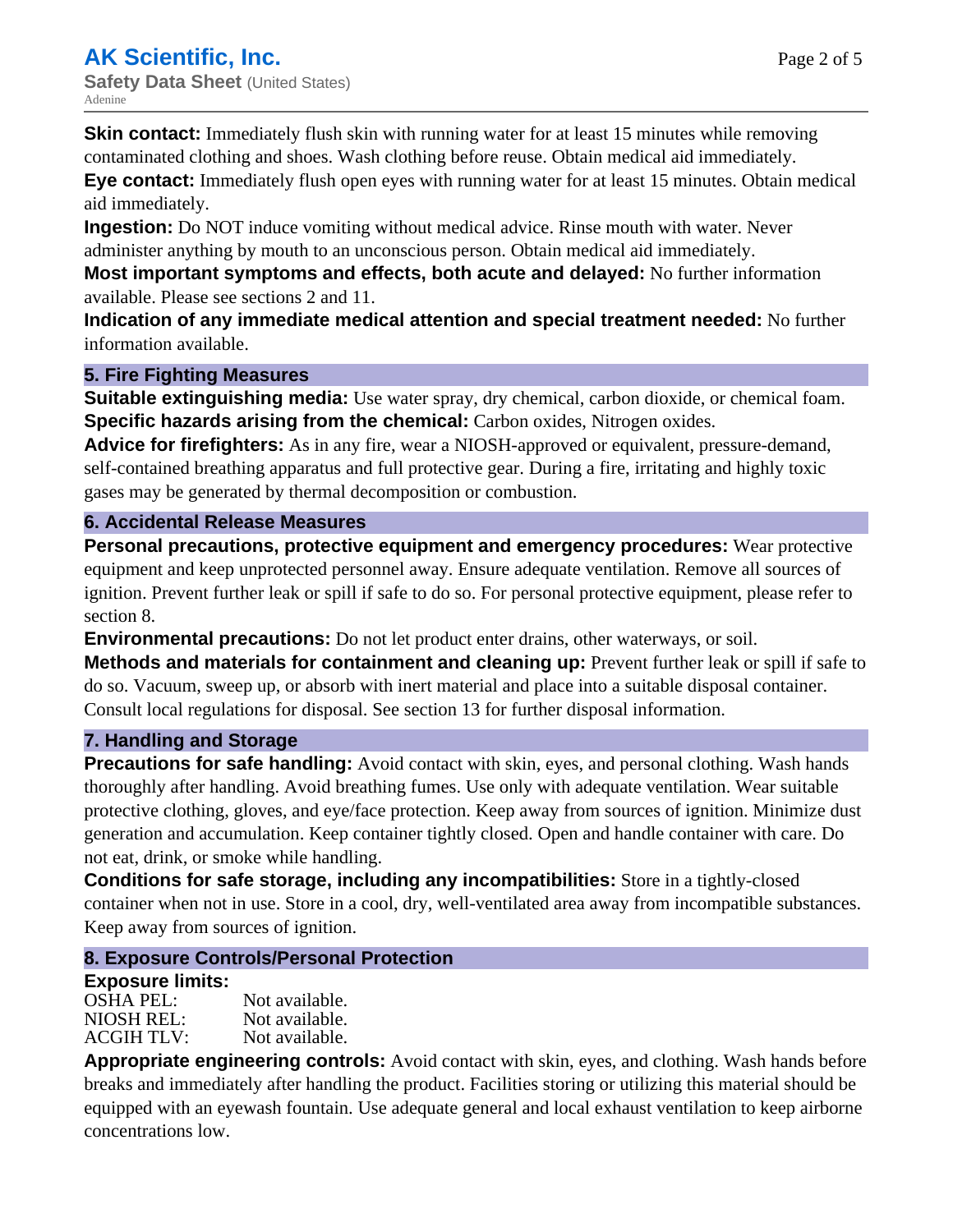**Skin contact:** Immediately flush skin with running water for at least 15 minutes while removing contaminated clothing and shoes. Wash clothing before reuse. Obtain medical aid immediately.

**Eye contact:** Immediately flush open eyes with running water for at least 15 minutes. Obtain medical aid immediately.

**Ingestion:** Do NOT induce vomiting without medical advice. Rinse mouth with water. Never administer anything by mouth to an unconscious person. Obtain medical aid immediately.

**Most important symptoms and effects, both acute and delayed:** No further information available. Please see sections 2 and 11.

**Indication of any immediate medical attention and special treatment needed:** No further information available.

#### **5. Fire Fighting Measures**

**Suitable extinguishing media:** Use water spray, dry chemical, carbon dioxide, or chemical foam. **Specific hazards arising from the chemical:** Carbon oxides, Nitrogen oxides.

**Advice for firefighters:** As in any fire, wear a NIOSH-approved or equivalent, pressure-demand, self-contained breathing apparatus and full protective gear. During a fire, irritating and highly toxic gases may be generated by thermal decomposition or combustion.

## **6. Accidental Release Measures**

**Personal precautions, protective equipment and emergency procedures:** Wear protective equipment and keep unprotected personnel away. Ensure adequate ventilation. Remove all sources of ignition. Prevent further leak or spill if safe to do so. For personal protective equipment, please refer to section 8.

**Environmental precautions:** Do not let product enter drains, other waterways, or soil. **Methods and materials for containment and cleaning up:** Prevent further leak or spill if safe to do so. Vacuum, sweep up, or absorb with inert material and place into a suitable disposal container. Consult local regulations for disposal. See section 13 for further disposal information.

#### **7. Handling and Storage**

**Precautions for safe handling:** Avoid contact with skin, eyes, and personal clothing. Wash hands thoroughly after handling. Avoid breathing fumes. Use only with adequate ventilation. Wear suitable protective clothing, gloves, and eye/face protection. Keep away from sources of ignition. Minimize dust generation and accumulation. Keep container tightly closed. Open and handle container with care. Do not eat, drink, or smoke while handling.

**Conditions for safe storage, including any incompatibilities:** Store in a tightly-closed container when not in use. Store in a cool, dry, well-ventilated area away from incompatible substances. Keep away from sources of ignition.

# **8. Exposure Controls/Personal Protection**

# **Exposure limits:**

| <b>OSHA PEL:</b>  | Not available. |
|-------------------|----------------|
| NIOSH REL:        | Not available. |
| <b>ACGIH TLV:</b> | Not available. |

**Appropriate engineering controls:** Avoid contact with skin, eyes, and clothing. Wash hands before breaks and immediately after handling the product. Facilities storing or utilizing this material should be equipped with an eyewash fountain. Use adequate general and local exhaust ventilation to keep airborne concentrations low.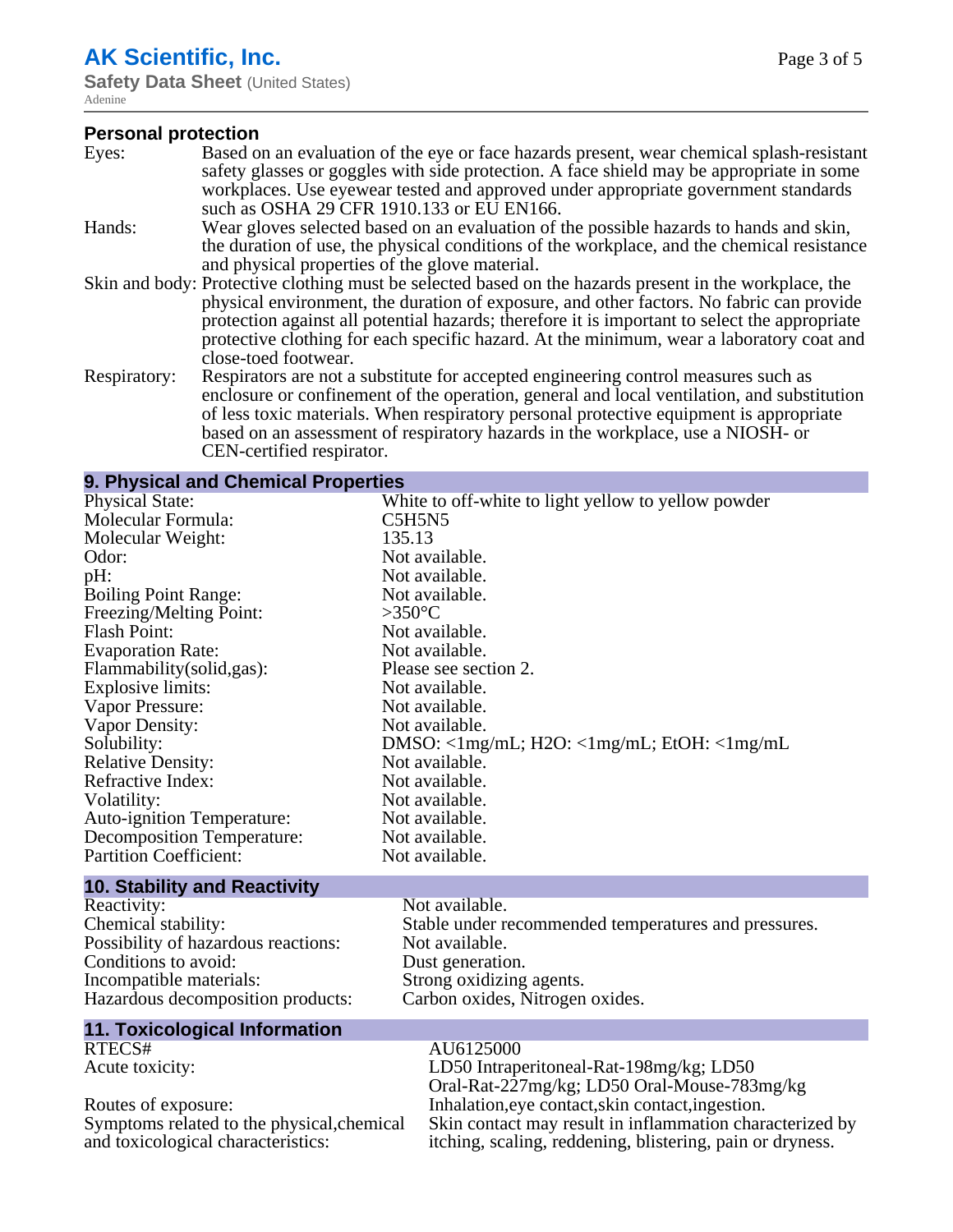# **AK Scientific, Inc.**

**Safety Data Sheet (United States)** Adenine

## **Personal protection**

| Eyes:        | Based on an evaluation of the eye or face hazards present, wear chemical splash-resistant<br>safety glasses or goggles with side protection. A face shield may be appropriate in some                                                                                      |
|--------------|----------------------------------------------------------------------------------------------------------------------------------------------------------------------------------------------------------------------------------------------------------------------------|
|              | workplaces. Use eyewear tested and approved under appropriate government standards<br>such as OSHA 29 CFR 1910.133 or EU EN166.                                                                                                                                            |
| Hands:       | Wear gloves selected based on an evaluation of the possible hazards to hands and skin,                                                                                                                                                                                     |
|              | the duration of use, the physical conditions of the workplace, and the chemical resistance                                                                                                                                                                                 |
|              | and physical properties of the glove material.                                                                                                                                                                                                                             |
|              | Skin and body: Protective clothing must be selected based on the hazards present in the workplace, the                                                                                                                                                                     |
|              | physical environment, the duration of exposure, and other factors. No fabric can provide                                                                                                                                                                                   |
|              | protection against all potential hazards; therefore it is important to select the appropriate                                                                                                                                                                              |
|              | protective clothing for each specific hazard. At the minimum, wear a laboratory coat and                                                                                                                                                                                   |
|              | close-toed footwear.                                                                                                                                                                                                                                                       |
| Respiratory: | Respirators are not a substitute for accepted engineering control measures such as<br>enclosure or confinement of the operation, general and local ventilation, and substitution<br>of less toxic materials. When respiratory personal protective equipment is appropriate |
|              | based on an assessment of respiratory hazards in the workplace, use a NIOSH- or                                                                                                                                                                                            |
|              | CEN-certified respirator.                                                                                                                                                                                                                                                  |
|              |                                                                                                                                                                                                                                                                            |

## **9. Physical and Chemical Properties**

| <b>Physical State:</b>              | White to off-white to light yellow to yellow powder                       |
|-------------------------------------|---------------------------------------------------------------------------|
| Molecular Formula:                  | C5H5N5                                                                    |
| Molecular Weight:                   | 135.13                                                                    |
| Odor:                               | Not available.                                                            |
| pH:                                 | Not available.                                                            |
| <b>Boiling Point Range:</b>         | Not available.                                                            |
| Freezing/Melting Point:             | $>350^{\circ}$ C                                                          |
| <b>Flash Point:</b>                 | Not available.                                                            |
| <b>Evaporation Rate:</b>            | Not available.                                                            |
| Flammability(solid,gas):            | Please see section 2.                                                     |
| <b>Explosive limits:</b>            | Not available.                                                            |
| Vapor Pressure:                     | Not available.                                                            |
| Vapor Density:                      | Not available.                                                            |
| Solubility:                         | $DMSO: \langle 1mg/mL; H2O: \langle 1mg/mL; EtOH: \langle 1mg/mL \rangle$ |
| <b>Relative Density:</b>            | Not available.                                                            |
| Refractive Index:                   | Not available.                                                            |
| Volatility:                         | Not available.                                                            |
| Auto-ignition Temperature:          | Not available.                                                            |
| Decomposition Temperature:          | Not available.                                                            |
| <b>Partition Coefficient:</b>       | Not available.                                                            |
| <b>10. Stability and Reactivity</b> |                                                                           |

| <b>IV. OLADIIILY AIR NEACHVILY</b>  |                                                      |
|-------------------------------------|------------------------------------------------------|
| Reactivity:                         | Not available.                                       |
| Chemical stability:                 | Stable under recommended temperatures and pressures. |
| Possibility of hazardous reactions: | Not available.                                       |
| Conditions to avoid:                | Dust generation.                                     |
| Incompatible materials:             | Strong oxidizing agents.                             |
| Hazardous decomposition products:   | Carbon oxides, Nitrogen oxides.                      |
| 11. Toxicological Information       |                                                      |

| RTECS#                                     | AU6125000                                                 |
|--------------------------------------------|-----------------------------------------------------------|
| Acute toxicity:                            | LD50 Intraperitoneal-Rat-198mg/kg; LD50                   |
|                                            | Oral-Rat-227mg/kg; LD50 Oral-Mouse-783mg/kg               |
| Routes of exposure:                        | Inhalation, eye contact, skin contact, ingestion.         |
| Symptoms related to the physical, chemical | Skin contact may result in inflammation characterized by  |
| and toxicological characteristics:         | itching, scaling, reddening, blistering, pain or dryness. |
|                                            |                                                           |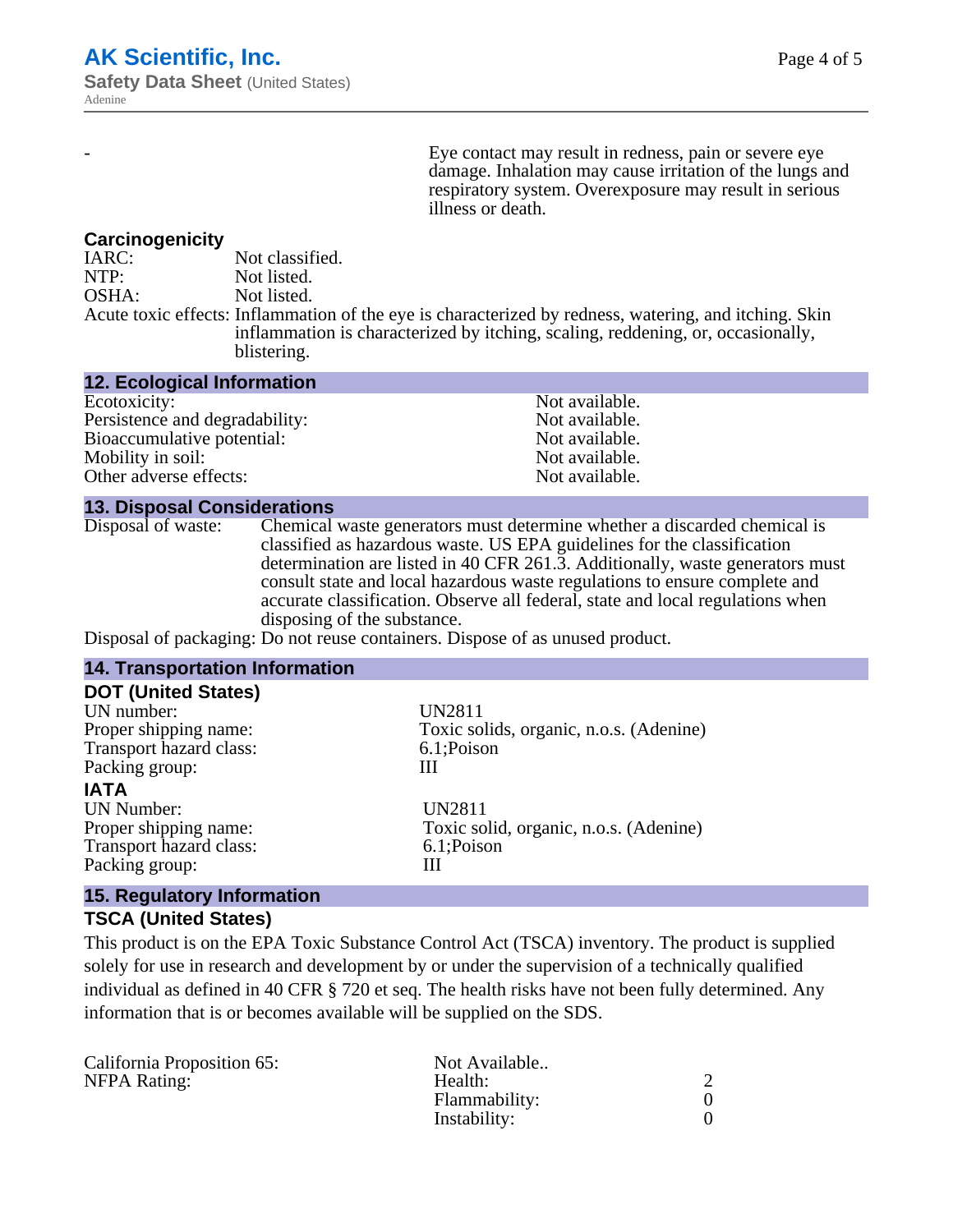Eye contact may result in redness, pain or severe eye damage. Inhalation may cause irritation of the lungs and respiratory system. Overexposure may result in serious illness or death.

#### **Carcinogenicity**

| IARC: | Not classified.                                                                                       |
|-------|-------------------------------------------------------------------------------------------------------|
| NTP:  | Not listed.                                                                                           |
| OSHA: | Not listed.                                                                                           |
|       | Acute toxic effects: Inflammation of the eye is characterized by redness, watering, and itching. Skin |
|       | inflammation is characterized by itching, scaling, reddening, or, occasionally,                       |
|       | blistering.                                                                                           |

| <b>12. Ecological Information</b> |                |
|-----------------------------------|----------------|
| Ecotoxicity:                      | Not available. |
| Persistence and degradability:    | Not available. |
| Bioaccumulative potential:        | Not available. |
| Mobility in soil:                 | Not available. |
| Other adverse effects:            | Not available. |

#### **13. Disposal Considerations**

Disposal of waste: Chemical waste generators must determine whether a discarded chemical is classified as hazardous waste. US EPA guidelines for the classification determination are listed in 40 CFR 261.3. Additionally, waste generators must consult state and local hazardous waste regulations to ensure complete and accurate classification. Observe all federal, state and local regulations when disposing of the substance.

Disposal of packaging: Do not reuse containers. Dispose of as unused product.

| <b>14. Transportation Information</b>                                                        |                                                                            |
|----------------------------------------------------------------------------------------------|----------------------------------------------------------------------------|
| <b>DOT (United States)</b><br>UN number:<br>Proper shipping name:<br>Transport hazard class: | <b>UN2811</b><br>Toxic solids, organic, n.o.s. (Adenine)<br>6.1;Poison     |
| Packing group:<br><b>IATA</b>                                                                | Ш                                                                          |
| <b>UN Number:</b><br>Proper shipping name:<br>Transport hazard class:<br>Packing group:      | <b>UN2811</b><br>Toxic solid, organic, n.o.s. (Adenine)<br>6.1;Poison<br>Ш |
| 15 Requisitory Information                                                                   |                                                                            |

# **15. Regulatory Information**

#### **TSCA (United States)**

This product is on the EPA Toxic Substance Control Act (TSCA) inventory. The product is supplied solely for use in research and development by or under the supervision of a technically qualified individual as defined in 40 CFR § 720 et seq. The health risks have not been fully determined. Any information that is or becomes available will be supplied on the SDS.

| California Proposition 65: | Not Available |  |
|----------------------------|---------------|--|
| NFPA Rating:               | Health:       |  |
|                            | Flammability: |  |
|                            | Instability:  |  |